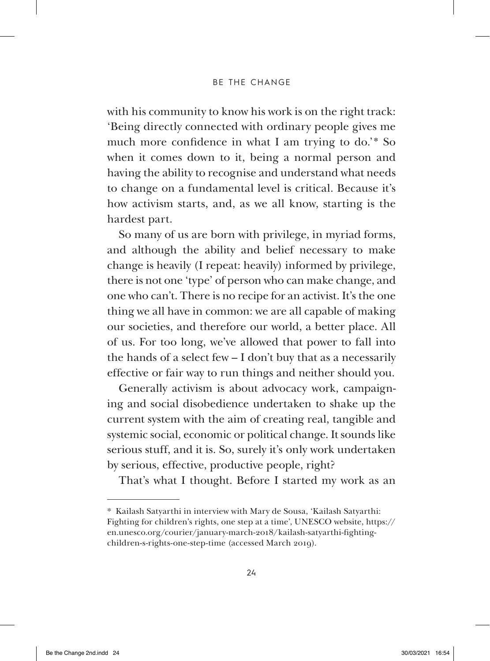## BE THE CHANGE

with his community to know his work is on the right track: 'Being directly connected with ordinary people gives me much more confidence in what I am trying to do.'**\*** So when it comes down to it, being a normal person and having the ability to recognise and understand what needs to change on a fundamental level is critical. Because it's how activism starts, and, as we all know, starting is the hardest part.

So many of us are born with privilege, in myriad forms, and although the ability and belief necessary to make change is heavily (I repeat: heavily) informed by privilege, there is not one 'type' of person who can make change, and one who can't. There is no recipe for an activist. It's the one thing we all have in common: we are all capable of making our societies, and therefore our world, a better place. All of us. For too long, we've allowed that power to fall into the hands of a select few – I don't buy that as a necessarily effective or fair way to run things and neither should you.

Generally activism is about advocacy work, campaigning and social disobedience undertaken to shake up the current system with the aim of creating real, tangible and systemic social, economic or political change. It sounds like serious stuff, and it is. So, surely it's only work undertaken by serious, effective, productive people, right?

That's what I thought. Before I started my work as an

<sup>\*</sup> Kailash Satyarthi in interview with Mary de Sousa, 'Kailash Satyarthi: Fighting for children's rights, one step at a time', UNESCO website, https:// en.unesco.org/courier/january-march-2018/kailash-satyarthi-fightingchildren-s-rights-one-step-time (accessed March 2019).